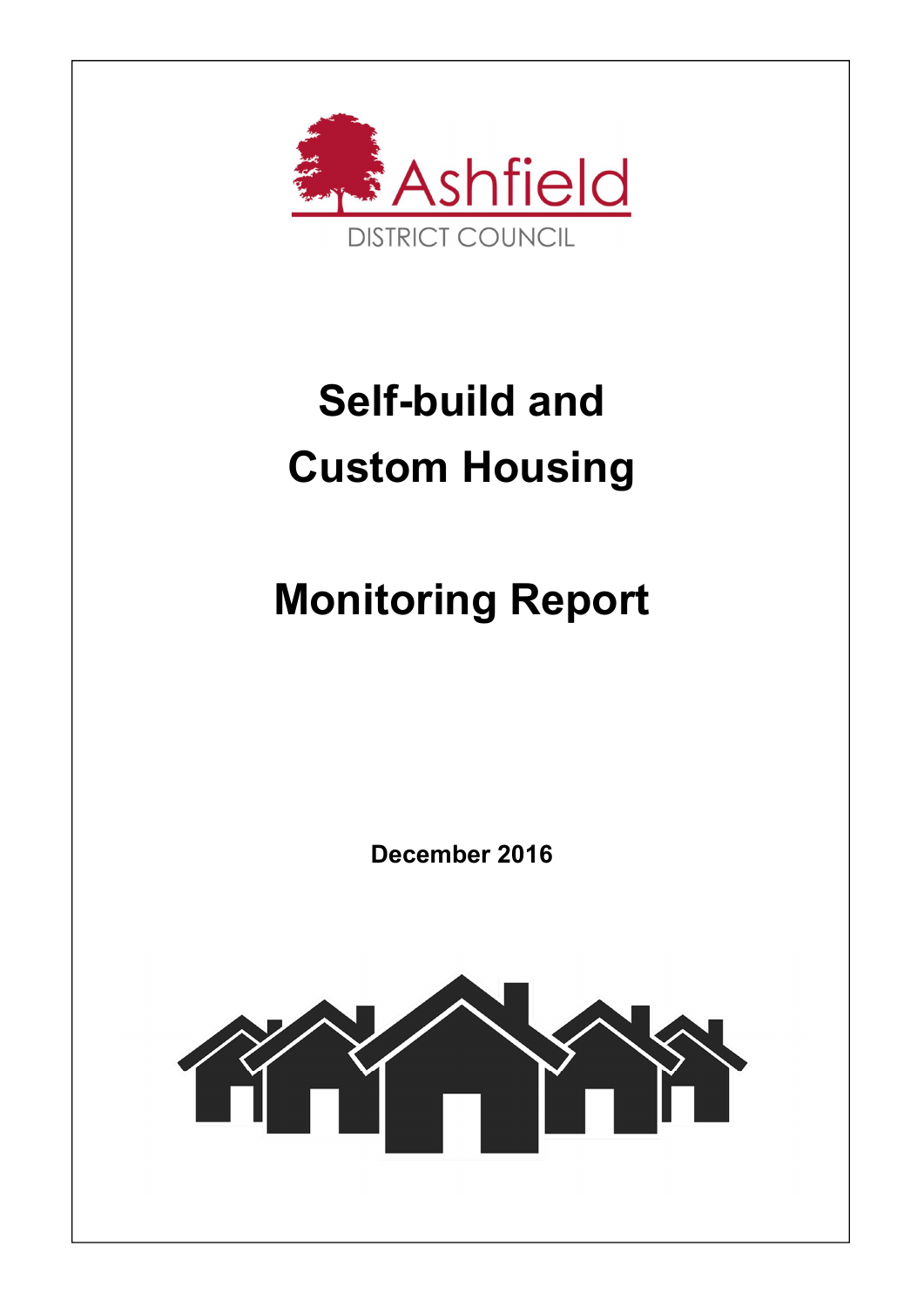

# Self-build and Custom Housing

## Monitoring Report

December 2016

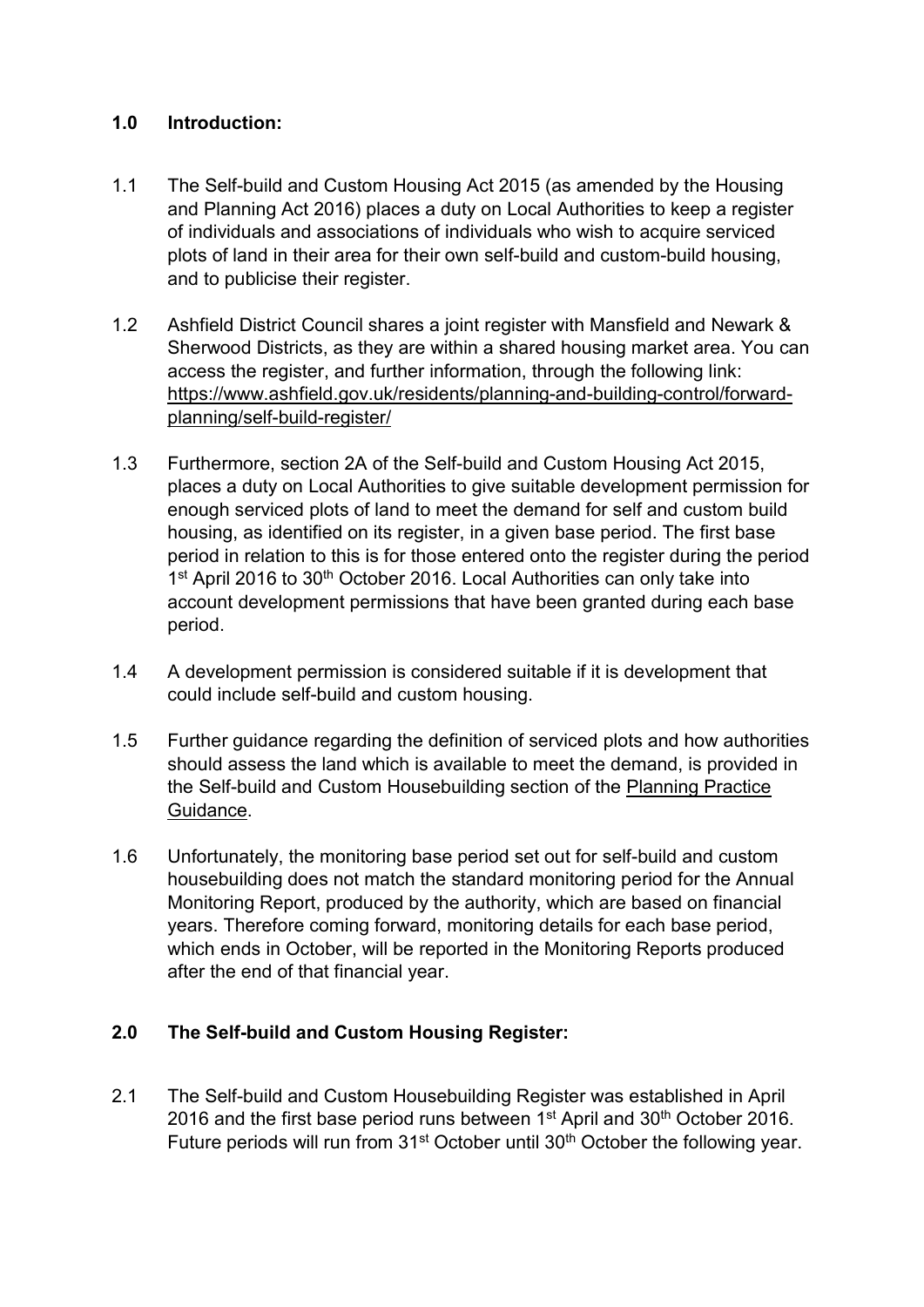#### 1.0 Introduction:

- 1.1 The Self-build and Custom Housing Act 2015 (as amended by the Housing and Planning Act 2016) places a duty on Local Authorities to keep a register of individuals and associations of individuals who wish to acquire serviced plots of land in their area for their own self-build and custom-build housing, and to publicise their register.
- 1.2 Ashfield District Council shares a joint register with Mansfield and Newark & Sherwood Districts, as they are within a shared housing market area. You can access the register, and further information, through the following link: https://www.ashfield.gov.uk/residents/planning-and-building-control/forwardplanning/self-build-register/
- 1.3 Furthermore, section 2A of the Self-build and Custom Housing Act 2015, places a duty on Local Authorities to give suitable development permission for enough serviced plots of land to meet the demand for self and custom build housing, as identified on its register, in a given base period. The first base period in relation to this is for those entered onto the register during the period 1<sup>st</sup> April 2016 to 30<sup>th</sup> October 2016. Local Authorities can only take into account development permissions that have been granted during each base period.
- 1.4 A development permission is considered suitable if it is development that could include self-build and custom housing.
- 1.5 Further guidance regarding the definition of serviced plots and how authorities should assess the land which is available to meet the demand, is provided in the Self-build and Custom Housebuilding section of the Planning Practice Guidance.
- 1.6 Unfortunately, the monitoring base period set out for self-build and custom housebuilding does not match the standard monitoring period for the Annual Monitoring Report, produced by the authority, which are based on financial years. Therefore coming forward, monitoring details for each base period, which ends in October, will be reported in the Monitoring Reports produced after the end of that financial year.

### 2.0 The Self-build and Custom Housing Register:

2.1 The Self-build and Custom Housebuilding Register was established in April 2016 and the first base period runs between  $1<sup>st</sup>$  April and  $30<sup>th</sup>$  October 2016. Future periods will run from 31<sup>st</sup> October until 30<sup>th</sup> October the following vear.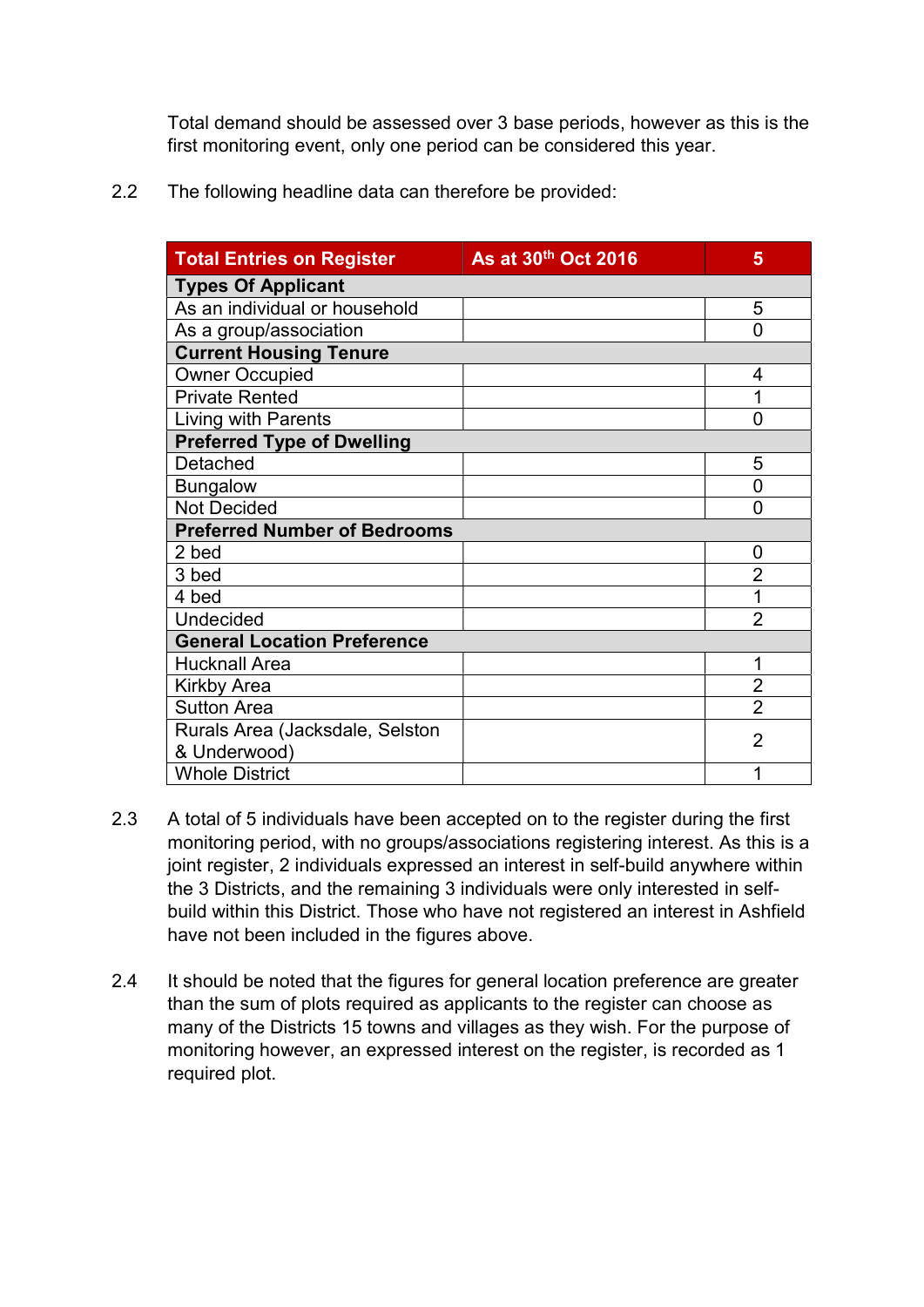Total demand should be assessed over 3 base periods, however as this is the first monitoring event, only one period can be considered this year.

2.2 The following headline data can therefore be provided:

| <b>Total Entries on Register</b>    | As at 30th Oct 2016 | 5              |  |
|-------------------------------------|---------------------|----------------|--|
| <b>Types Of Applicant</b>           |                     |                |  |
| As an individual or household       |                     | 5              |  |
| As a group/association              |                     | 0              |  |
| <b>Current Housing Tenure</b>       |                     |                |  |
| <b>Owner Occupied</b>               |                     | 4              |  |
| <b>Private Rented</b>               |                     | 1              |  |
| Living with Parents                 |                     | $\overline{0}$ |  |
| <b>Preferred Type of Dwelling</b>   |                     |                |  |
| Detached                            |                     | 5              |  |
| <b>Bungalow</b>                     |                     | 0              |  |
| <b>Not Decided</b>                  |                     | 0              |  |
| <b>Preferred Number of Bedrooms</b> |                     |                |  |
| 2 bed                               |                     | 0              |  |
| 3 bed                               |                     | $\overline{2}$ |  |
| 4 bed                               |                     | 1              |  |
| Undecided                           |                     | $\overline{2}$ |  |
| <b>General Location Preference</b>  |                     |                |  |
| <b>Hucknall Area</b>                |                     | 1              |  |
| <b>Kirkby Area</b>                  |                     | $\overline{2}$ |  |
| <b>Sutton Area</b>                  |                     | $\overline{2}$ |  |
| Rurals Area (Jacksdale, Selston     |                     | $\overline{2}$ |  |
| & Underwood)                        |                     |                |  |
| <b>Whole District</b>               |                     | 1              |  |

- 2.3 A total of 5 individuals have been accepted on to the register during the first monitoring period, with no groups/associations registering interest. As this is a joint register, 2 individuals expressed an interest in self-build anywhere within the 3 Districts, and the remaining 3 individuals were only interested in selfbuild within this District. Those who have not registered an interest in Ashfield have not been included in the figures above.
- 2.4 It should be noted that the figures for general location preference are greater than the sum of plots required as applicants to the register can choose as many of the Districts 15 towns and villages as they wish. For the purpose of monitoring however, an expressed interest on the register, is recorded as 1 required plot.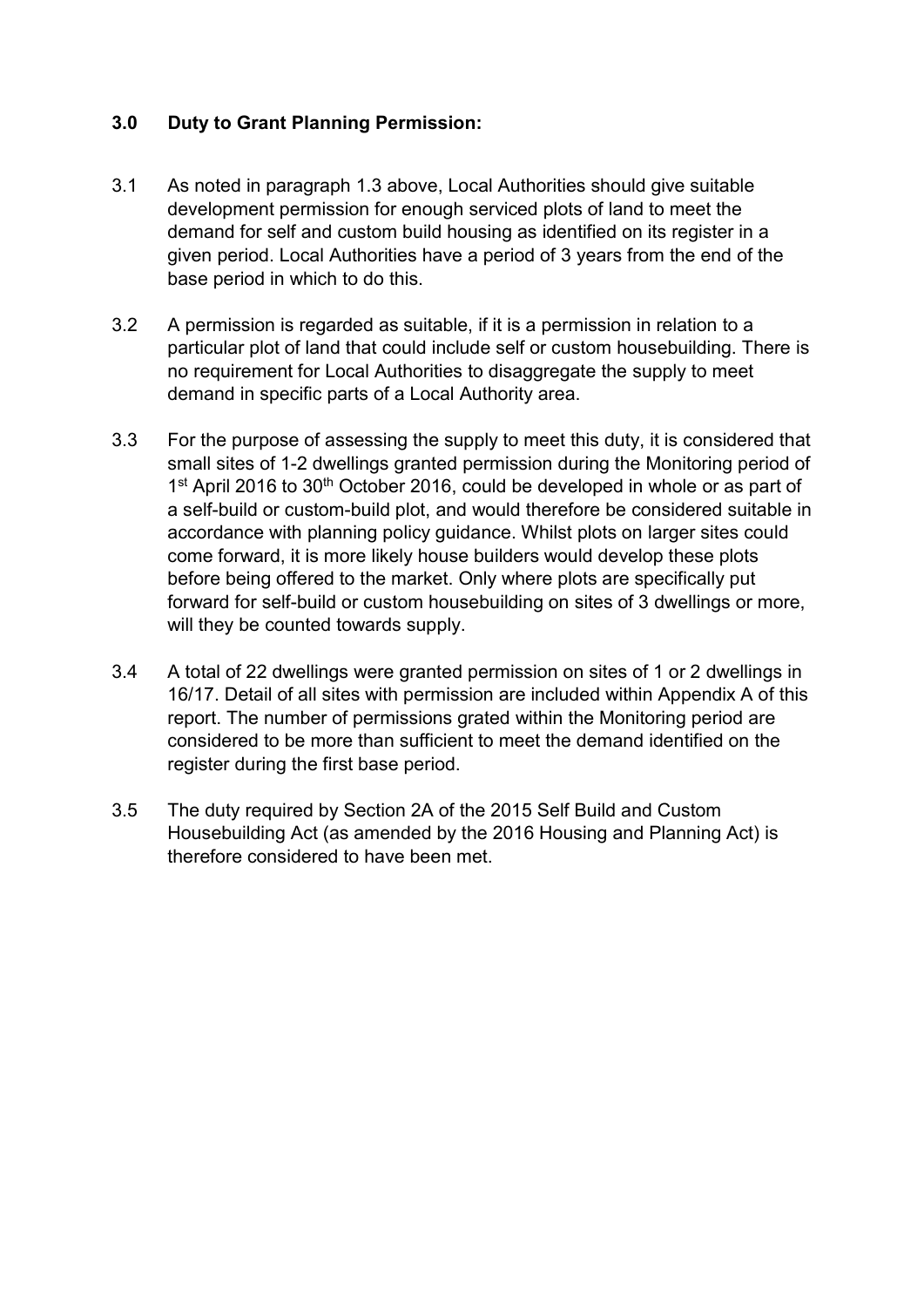#### 3.0 Duty to Grant Planning Permission:

- 3.1 As noted in paragraph 1.3 above, Local Authorities should give suitable development permission for enough serviced plots of land to meet the demand for self and custom build housing as identified on its register in a given period. Local Authorities have a period of 3 years from the end of the base period in which to do this.
- 3.2 A permission is regarded as suitable, if it is a permission in relation to a particular plot of land that could include self or custom housebuilding. There is no requirement for Local Authorities to disaggregate the supply to meet demand in specific parts of a Local Authority area.
- 3.3 For the purpose of assessing the supply to meet this duty, it is considered that small sites of 1-2 dwellings granted permission during the Monitoring period of 1<sup>st</sup> April 2016 to 30<sup>th</sup> October 2016, could be developed in whole or as part of a self-build or custom-build plot, and would therefore be considered suitable in accordance with planning policy guidance. Whilst plots on larger sites could come forward, it is more likely house builders would develop these plots before being offered to the market. Only where plots are specifically put forward for self-build or custom housebuilding on sites of 3 dwellings or more, will they be counted towards supply.
- 3.4 A total of 22 dwellings were granted permission on sites of 1 or 2 dwellings in 16/17. Detail of all sites with permission are included within Appendix A of this report. The number of permissions grated within the Monitoring period are considered to be more than sufficient to meet the demand identified on the register during the first base period.
- 3.5 The duty required by Section 2A of the 2015 Self Build and Custom Housebuilding Act (as amended by the 2016 Housing and Planning Act) is therefore considered to have been met.